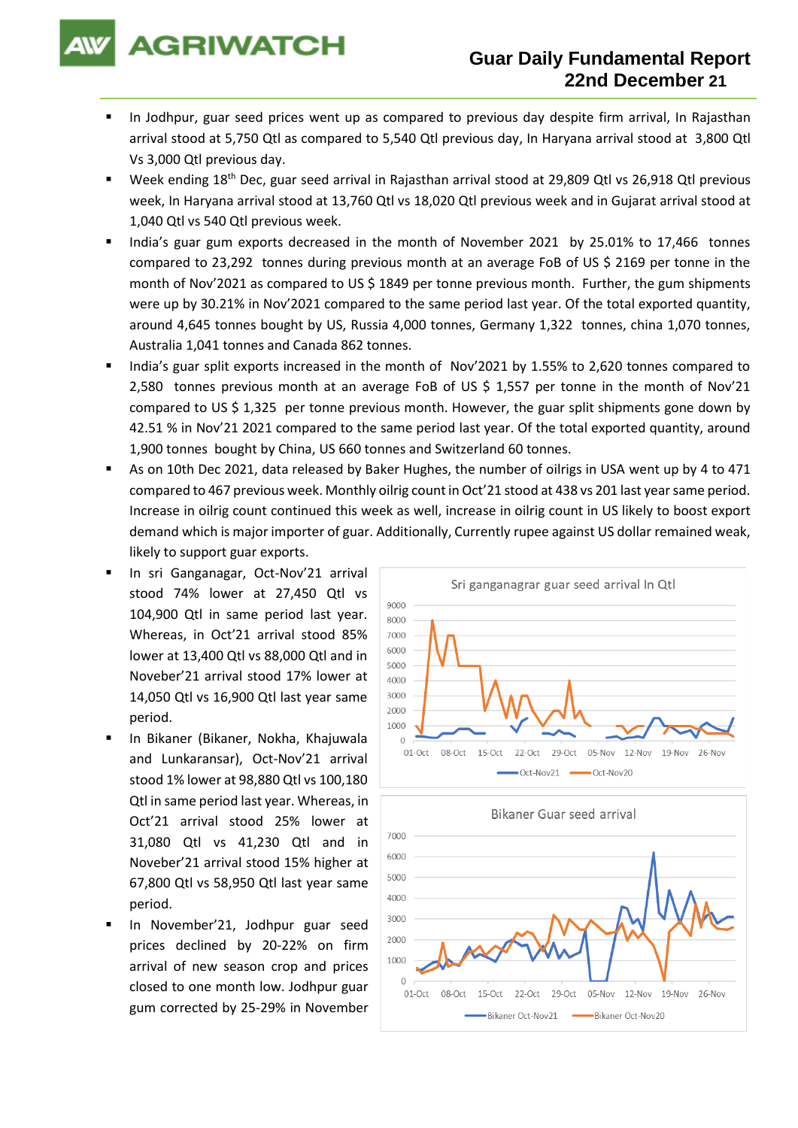**AGRIWATCH** 

- In Jodhpur, guar seed prices went up as compared to previous day despite firm arrival, In Rajasthan arrival stood at 5,750 Qtl as compared to 5,540 Qtl previous day, In Haryana arrival stood at 3,800 Qtl Vs 3,000 Qtl previous day.
- Week ending 18<sup>th</sup> Dec, guar seed arrival in Rajasthan arrival stood at 29,809 Qtl vs 26,918 Qtl previous week, In Haryana arrival stood at 13,760 Qtl vs 18,020 Qtl previous week and in Gujarat arrival stood at 1,040 Qtl vs 540 Qtl previous week.
- India's guar gum exports decreased in the month of November 2021 by 25.01% to 17,466 tonnes compared to 23,292 tonnes during previous month at an average FoB of US \$ 2169 per tonne in the month of Nov'2021 as compared to US \$ 1849 per tonne previous month. Further, the gum shipments were up by 30.21% in Nov'2021 compared to the same period last year. Of the total exported quantity, around 4,645 tonnes bought by US, Russia 4,000 tonnes, Germany 1,322 tonnes, china 1,070 tonnes, Australia 1,041 tonnes and Canada 862 tonnes.
- India's guar split exports increased in the month of Nov'2021 by 1.55% to 2,620 tonnes compared to 2,580 tonnes previous month at an average FoB of US \$ 1,557 per tonne in the month of Nov'21 compared to US \$ 1,325 per tonne previous month. However, the guar split shipments gone down by 42.51 % in Nov'21 2021 compared to the same period last year. Of the total exported quantity, around 1,900 tonnes bought by China, US 660 tonnes and Switzerland 60 tonnes.
- As on 10th Dec 2021, data released by Baker Hughes, the number of oilrigs in USA went up by 4 to 471 compared to 467 previous week. Monthly oilrig count in Oct'21 stood at 438 vs 201 last year same period. Increase in oilrig count continued this week as well, increase in oilrig count in US likely to boost export demand which is major importer of guar. Additionally, Currently rupee against US dollar remained weak, likely to support guar exports.
- In sri Ganganagar, Oct-Nov'21 arrival stood 74% lower at 27,450 Qtl vs 104,900 Qtl in same period last year. Whereas, in Oct'21 arrival stood 85% lower at 13,400 Qtl vs 88,000 Qtl and in Noveber'21 arrival stood 17% lower at 14,050 Qtl vs 16,900 Qtl last year same period.
- In Bikaner (Bikaner, Nokha, Khajuwala and Lunkaransar), Oct-Nov'21 arrival stood 1% lower at 98,880 Qtl vs 100,180 Qtl in same period last year. Whereas, in Oct'21 arrival stood 25% lower at 31,080 Qtl vs 41,230 Qtl and in Noveber'21 arrival stood 15% higher at 67,800 Qtl vs 58,950 Qtl last year same period.
- In November'21, Jodhpur guar seed prices declined by 20-22% on firm arrival of new season crop and prices closed to one month low. Jodhpur guar gum corrected by 25-29% in November



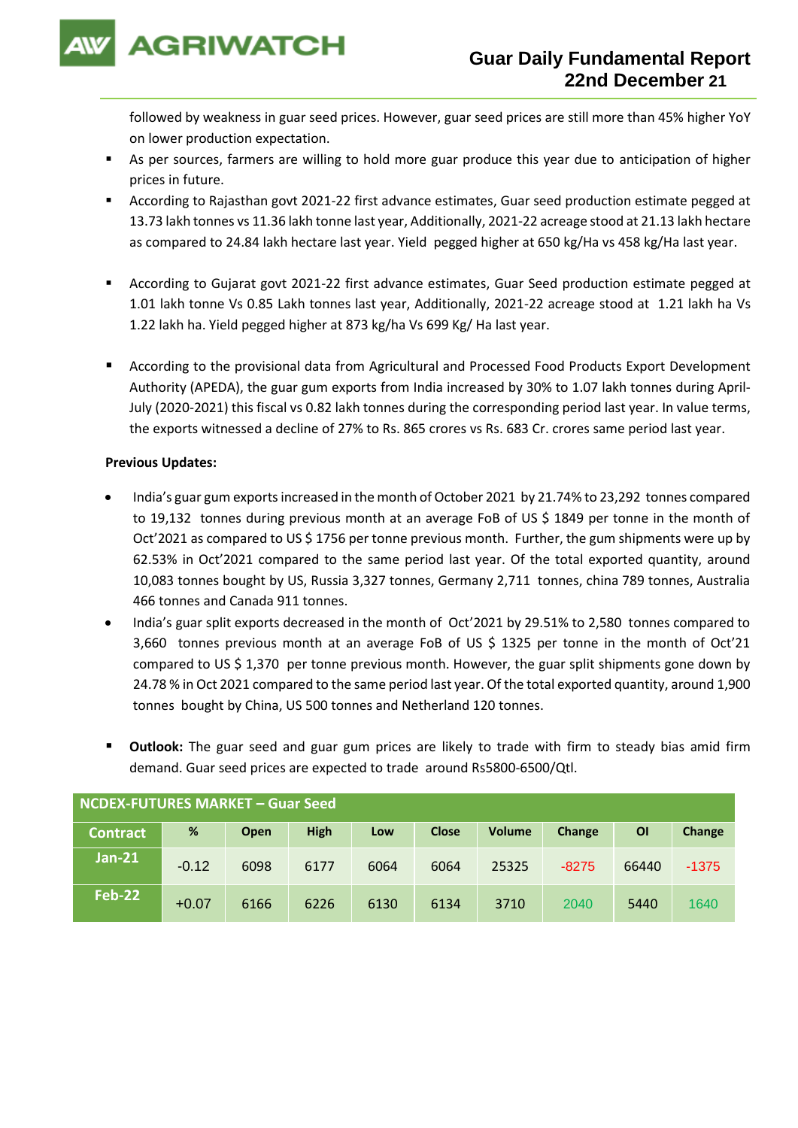

followed by weakness in guar seed prices. However, guar seed prices are still more than 45% higher YoY on lower production expectation.

- As per sources, farmers are willing to hold more guar produce this year due to anticipation of higher prices in future.
- According to Rajasthan govt 2021-22 first advance estimates, Guar seed production estimate pegged at 13.73 lakh tonnes vs 11.36 lakh tonne last year, Additionally, 2021-22 acreage stood at 21.13 lakh hectare as compared to 24.84 lakh hectare last year. Yield pegged higher at 650 kg/Ha vs 458 kg/Ha last year.
- According to Gujarat govt 2021-22 first advance estimates, Guar Seed production estimate pegged at 1.01 lakh tonne Vs 0.85 Lakh tonnes last year, Additionally, 2021-22 acreage stood at 1.21 lakh ha Vs 1.22 lakh ha. Yield pegged higher at 873 kg/ha Vs 699 Kg/ Ha last year.
- According to the provisional data from Agricultural and Processed Food Products Export Development Authority (APEDA), the guar gum exports from India increased by 30% to 1.07 lakh tonnes during April-July (2020-2021) this fiscal vs 0.82 lakh tonnes during the corresponding period last year. In value terms, the exports witnessed a decline of 27% to Rs. 865 crores vs Rs. 683 Cr. crores same period last year.

## **Previous Updates:**

- India's guar gum exports increased in the month of October 2021 by 21.74% to 23,292 tonnes compared to 19,132 tonnes during previous month at an average FoB of US \$ 1849 per tonne in the month of Oct'2021 as compared to US \$ 1756 per tonne previous month. Further, the gum shipments were up by 62.53% in Oct'2021 compared to the same period last year. Of the total exported quantity, around 10,083 tonnes bought by US, Russia 3,327 tonnes, Germany 2,711 tonnes, china 789 tonnes, Australia 466 tonnes and Canada 911 tonnes.
- India's guar split exports decreased in the month of Oct'2021 by 29.51% to 2,580 tonnes compared to 3,660 tonnes previous month at an average FoB of US \$ 1325 per tonne in the month of Oct'21 compared to US \$ 1,370 per tonne previous month. However, the guar split shipments gone down by 24.78 % in Oct 2021 compared to the same period last year. Of the total exported quantity, around 1,900 tonnes bought by China, US 500 tonnes and Netherland 120 tonnes.
- Outlook: The guar seed and guar gum prices are likely to trade with firm to steady bias amid firm demand. Guar seed prices are expected to trade around Rs5800-6500/Qtl.

| NCDEX-FUTURES MARKET – Guar Seed |         |      |             |      |              |               |         |           |         |
|----------------------------------|---------|------|-------------|------|--------------|---------------|---------|-----------|---------|
| <b>Contract</b>                  | %       | Open | <b>High</b> | Low  | <b>Close</b> | <b>Volume</b> | Change  | <b>OI</b> | Change  |
| $Jan-21$                         | $-0.12$ | 6098 | 6177        | 6064 | 6064         | 25325         | $-8275$ | 66440     | $-1375$ |
| <b>Feb-22</b>                    | $+0.07$ | 6166 | 6226        | 6130 | 6134         | 3710          | 2040    | 5440      | 1640    |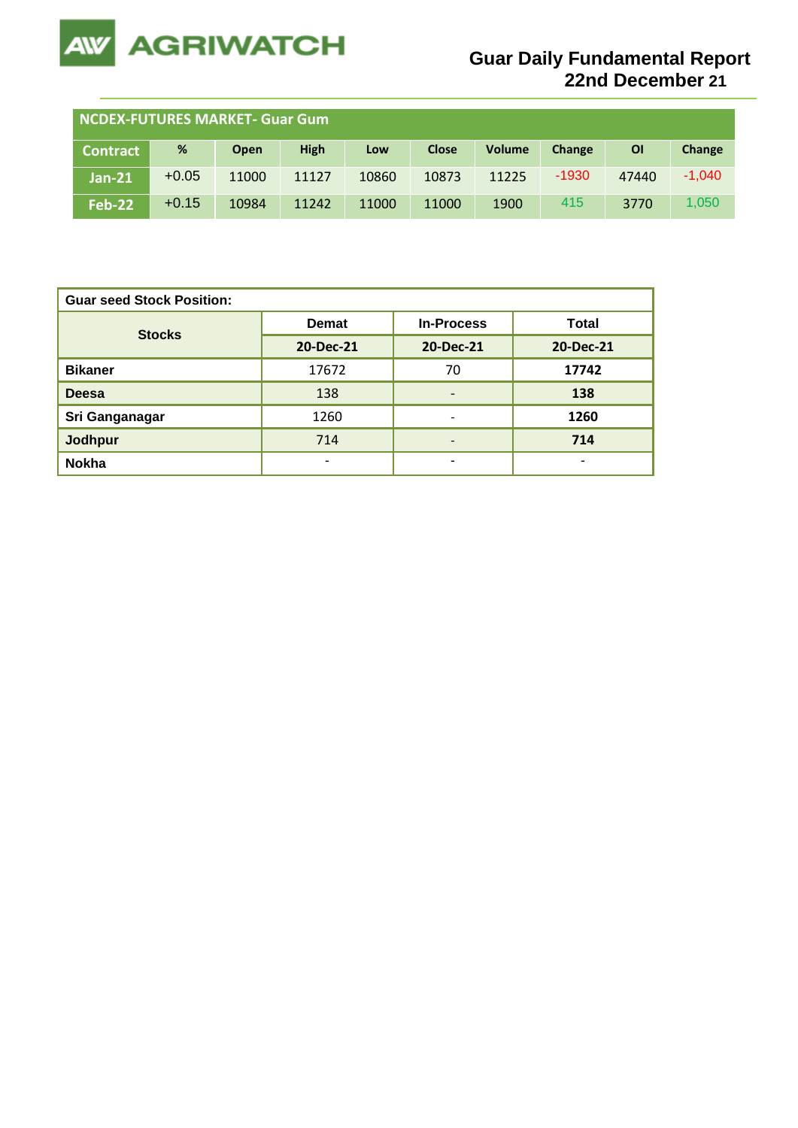

| <b>NCDEX-FUTURES MARKET- Guar Gum</b> |         |             |             |       |              |               |         |       |          |
|---------------------------------------|---------|-------------|-------------|-------|--------------|---------------|---------|-------|----------|
| <b>Contract</b>                       | %       | <b>Open</b> | <b>High</b> | Low   | <b>Close</b> | <b>Volume</b> | Change  | ΟI    | Change   |
| <b>Jan-21</b>                         | $+0.05$ | 11000       | 11127       | 10860 | 10873        | 11225         | $-1930$ | 47440 | $-1.040$ |
| <b>Feb-22</b>                         | $+0.15$ | 10984       | 11242       | 11000 | 11000        | 1900          | 415     | 3770  | 1,050    |

| <b>Guar seed Stock Position:</b> |              |                              |              |  |  |  |  |
|----------------------------------|--------------|------------------------------|--------------|--|--|--|--|
| <b>Stocks</b>                    | <b>Demat</b> | <b>In-Process</b>            | <b>Total</b> |  |  |  |  |
|                                  | 20-Dec-21    | 20-Dec-21                    | 20-Dec-21    |  |  |  |  |
| <b>Bikaner</b>                   | 17672        | 70                           | 17742        |  |  |  |  |
| <b>Deesa</b>                     | 138          | $\overline{\phantom{0}}$     | 138          |  |  |  |  |
| Sri Ganganagar                   | 1260         | -                            | 1260         |  |  |  |  |
| <b>Jodhpur</b>                   | 714          | $\qquad \qquad \blacksquare$ | 714          |  |  |  |  |
| <b>Nokha</b>                     | -            | ۰                            | ۰            |  |  |  |  |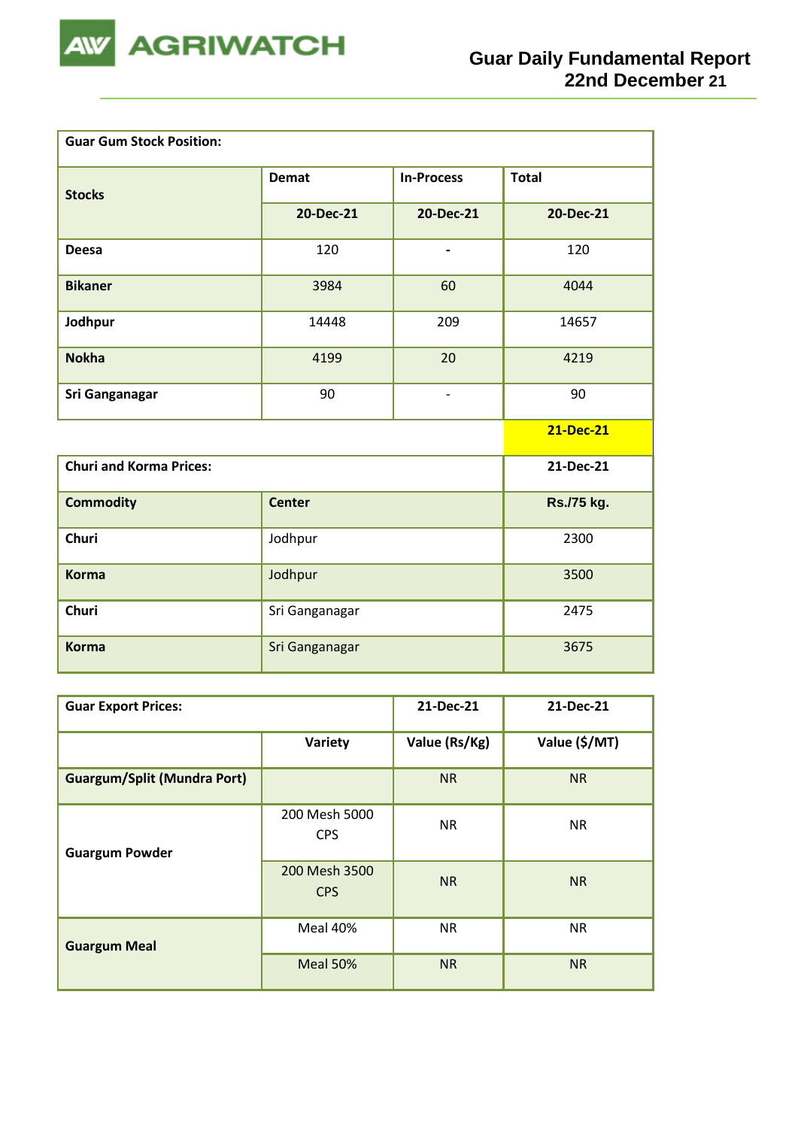

| <b>Guar Gum Stock Position:</b> |                |                              |                  |  |  |  |  |
|---------------------------------|----------------|------------------------------|------------------|--|--|--|--|
| <b>Stocks</b>                   | <b>Demat</b>   | <b>In-Process</b>            | <b>Total</b>     |  |  |  |  |
|                                 | 20-Dec-21      | 20-Dec-21                    | 20-Dec-21        |  |  |  |  |
| <b>Deesa</b>                    | 120            | $\qquad \qquad \blacksquare$ | 120              |  |  |  |  |
| <b>Bikaner</b>                  | 3984           | 60                           | 4044             |  |  |  |  |
| Jodhpur                         | 14448          | 209                          | 14657            |  |  |  |  |
| <b>Nokha</b>                    | 4199           | 20                           | 4219             |  |  |  |  |
| Sri Ganganagar                  | 90             | $\qquad \qquad -$            | 90               |  |  |  |  |
|                                 |                |                              | <b>21-Dec-21</b> |  |  |  |  |
| <b>Churi and Korma Prices:</b>  |                |                              | 21-Dec-21        |  |  |  |  |
| <b>Commodity</b>                | <b>Center</b>  |                              | Rs./75 kg.       |  |  |  |  |
| <b>Churi</b>                    | Jodhpur        |                              | 2300             |  |  |  |  |
| <b>Korma</b>                    | Jodhpur        |                              | 3500             |  |  |  |  |
| <b>Churi</b>                    | Sri Ganganagar |                              | 2475             |  |  |  |  |
| <b>Korma</b>                    | Sri Ganganagar |                              | 3675             |  |  |  |  |

| <b>Guar Export Prices:</b>         | 21-Dec-21                   | 21-Dec-21     |               |
|------------------------------------|-----------------------------|---------------|---------------|
|                                    | Variety                     | Value (Rs/Kg) | Value (\$/MT) |
| <b>Guargum/Split (Mundra Port)</b> |                             | <b>NR</b>     | <b>NR</b>     |
| <b>Guargum Powder</b>              | 200 Mesh 5000<br><b>CPS</b> | <b>NR</b>     | <b>NR</b>     |
|                                    | 200 Mesh 3500<br><b>CPS</b> | <b>NR</b>     | <b>NR</b>     |
| <b>Guargum Meal</b>                | Meal 40%                    | <b>NR</b>     | <b>NR</b>     |
|                                    | Meal 50%                    | <b>NR</b>     | <b>NR</b>     |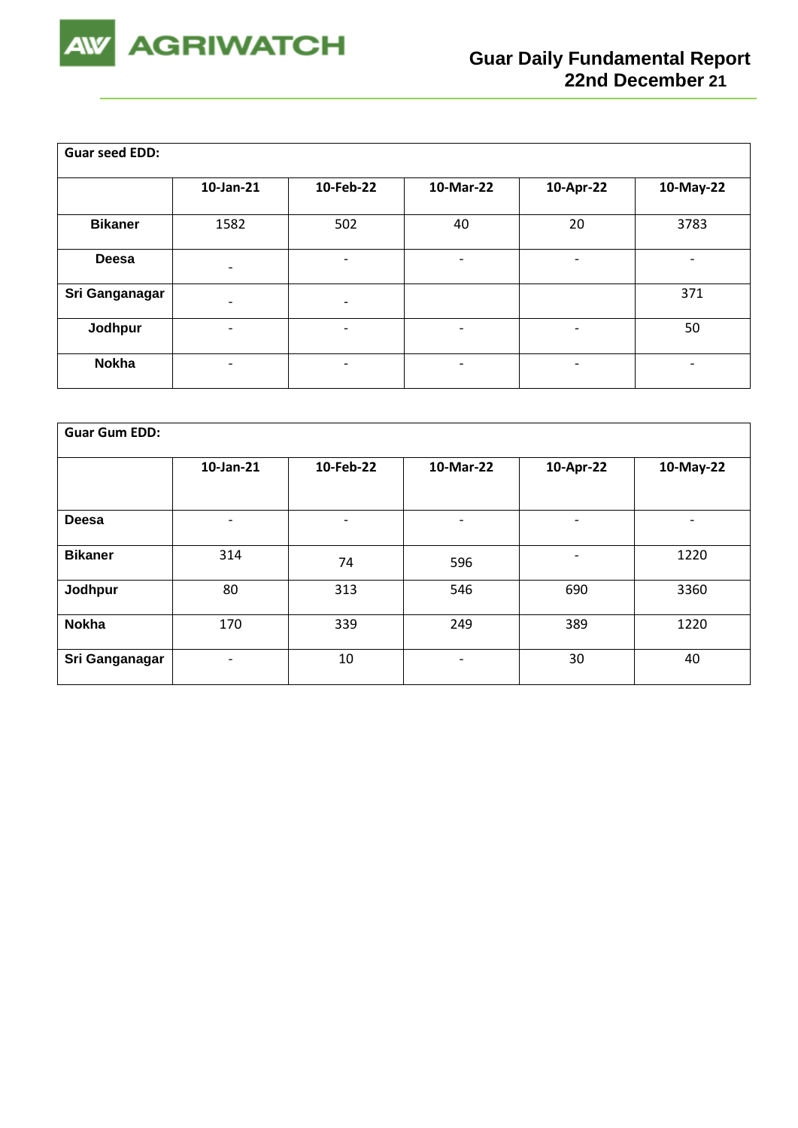

| <b>Guar seed EDD:</b> |                          |                          |                          |                          |                          |
|-----------------------|--------------------------|--------------------------|--------------------------|--------------------------|--------------------------|
|                       | 10-Jan-21                | 10-Feb-22                | 10-Mar-22                | 10-Apr-22                | 10-May-22                |
| <b>Bikaner</b>        | 1582                     | 502                      | 40                       | 20                       | 3783                     |
| <b>Deesa</b>          | $\overline{\phantom{0}}$ | $\overline{a}$           | ٠                        | -                        | $\overline{\phantom{a}}$ |
| Sri Ganganagar        | $\overline{a}$           | $\overline{\phantom{a}}$ |                          |                          | 371                      |
| Jodhpur               | $\overline{\phantom{0}}$ | $\overline{\phantom{0}}$ | $\overline{\phantom{0}}$ | $\overline{\phantom{a}}$ | 50                       |
| <b>Nokha</b>          |                          | $\overline{\phantom{0}}$ | $\overline{\phantom{a}}$ | -                        | $\overline{\phantom{a}}$ |

| <b>Guar Gum EDD:</b> |                          |                          |                          |                          |                          |  |  |  |
|----------------------|--------------------------|--------------------------|--------------------------|--------------------------|--------------------------|--|--|--|
|                      | 10-Jan-21                | 10-Feb-22                | 10-Mar-22                | 10-Apr-22                | 10-May-22                |  |  |  |
|                      |                          |                          |                          |                          |                          |  |  |  |
| <b>Deesa</b>         | $\overline{\phantom{0}}$ | $\overline{\phantom{0}}$ | $\overline{\phantom{a}}$ | $\overline{\phantom{0}}$ | $\overline{\phantom{0}}$ |  |  |  |
| <b>Bikaner</b>       | 314                      | 74                       | 596                      | $\overline{\phantom{0}}$ | 1220                     |  |  |  |
| Jodhpur              | 80                       | 313                      | 546                      | 690                      | 3360                     |  |  |  |
| <b>Nokha</b>         | 170                      | 339                      | 249                      | 389                      | 1220                     |  |  |  |
| Sri Ganganagar       | $\overline{\phantom{0}}$ | 10                       | $\overline{\phantom{0}}$ | 30                       | 40                       |  |  |  |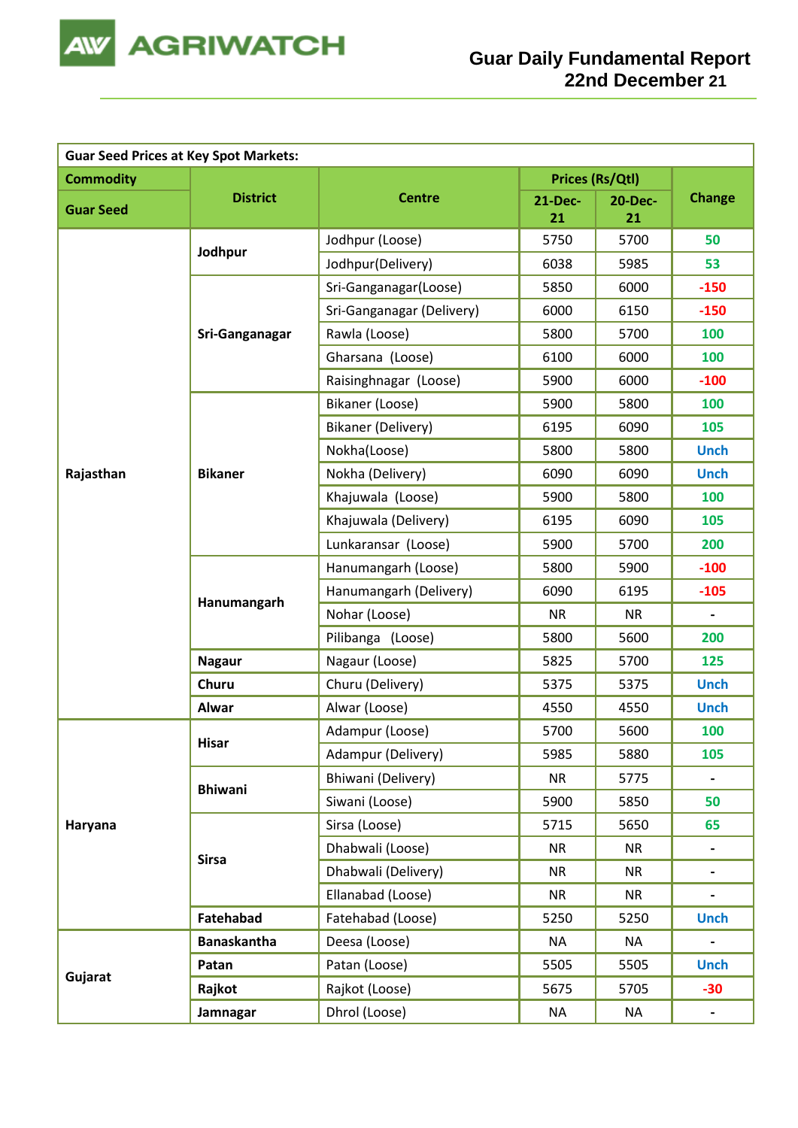

| <b>Guar Seed Prices at Key Spot Markets:</b> |                    |                           |                |                        |                          |  |  |
|----------------------------------------------|--------------------|---------------------------|----------------|------------------------|--------------------------|--|--|
| <b>Commodity</b>                             |                    |                           |                | <b>Prices (Rs/Qtl)</b> |                          |  |  |
| <b>Guar Seed</b>                             | <b>District</b>    | <b>Centre</b>             | <b>21-Dec-</b> | <b>20-Dec-</b>         | <b>Change</b>            |  |  |
|                                              |                    | Jodhpur (Loose)           | 21<br>5750     | 21<br>5700             | 50                       |  |  |
|                                              | Jodhpur            | Jodhpur(Delivery)         | 6038           | 5985                   | 53                       |  |  |
|                                              |                    | Sri-Ganganagar(Loose)     | 5850           | 6000                   | $-150$                   |  |  |
|                                              |                    | Sri-Ganganagar (Delivery) | 6000           | 6150                   | $-150$                   |  |  |
|                                              | Sri-Ganganagar     | Rawla (Loose)             | 5800           | 5700                   | 100                      |  |  |
|                                              |                    | Gharsana (Loose)          | 6100           | 6000                   | 100                      |  |  |
|                                              |                    |                           | 5900           | 6000                   | $-100$                   |  |  |
|                                              |                    | Raisinghnagar (Loose)     |                |                        |                          |  |  |
|                                              |                    | Bikaner (Loose)           | 5900           | 5800                   | 100                      |  |  |
|                                              |                    | <b>Bikaner (Delivery)</b> | 6195           | 6090                   | 105                      |  |  |
|                                              |                    | Nokha(Loose)              | 5800           | 5800                   | <b>Unch</b>              |  |  |
| Rajasthan                                    | <b>Bikaner</b>     | Nokha (Delivery)          | 6090           | 6090                   | <b>Unch</b>              |  |  |
|                                              |                    | Khajuwala (Loose)         | 5900           | 5800                   | 100                      |  |  |
|                                              |                    | Khajuwala (Delivery)      | 6195           | 6090                   | 105                      |  |  |
|                                              |                    | Lunkaransar (Loose)       | 5900           | 5700                   | 200                      |  |  |
|                                              | Hanumangarh        | Hanumangarh (Loose)       | 5800           | 5900                   | $-100$                   |  |  |
|                                              |                    | Hanumangarh (Delivery)    | 6090           | 6195                   | $-105$                   |  |  |
|                                              |                    | Nohar (Loose)             | <b>NR</b>      | <b>NR</b>              | $\overline{\phantom{0}}$ |  |  |
|                                              |                    | Pilibanga (Loose)         | 5800           | 5600                   | 200                      |  |  |
|                                              | <b>Nagaur</b>      | Nagaur (Loose)            | 5825           | 5700                   | 125                      |  |  |
|                                              | Churu              | Churu (Delivery)          | 5375           | 5375                   | <b>Unch</b>              |  |  |
|                                              | Alwar              | Alwar (Loose)             | 4550           | 4550                   | <b>Unch</b>              |  |  |
|                                              | <b>Hisar</b>       | Adampur (Loose)           | 5700           | 5600                   | 100                      |  |  |
|                                              |                    | Adampur (Delivery)        | 5985           | 5880                   | 105                      |  |  |
|                                              | <b>Bhiwani</b>     | Bhiwani (Delivery)        | <b>NR</b>      | 5775                   | $\overline{\phantom{a}}$ |  |  |
|                                              |                    | Siwani (Loose)            | 5900           | 5850                   | 50                       |  |  |
| Haryana                                      |                    | Sirsa (Loose)             | 5715           | 5650                   | 65                       |  |  |
|                                              |                    | Dhabwali (Loose)          | <b>NR</b>      | <b>NR</b>              | -                        |  |  |
|                                              | <b>Sirsa</b>       | Dhabwali (Delivery)       | <b>NR</b>      | <b>NR</b>              | $\blacksquare$           |  |  |
|                                              |                    | Ellanabad (Loose)         | <b>NR</b>      | <b>NR</b>              | -                        |  |  |
|                                              | Fatehabad          | Fatehabad (Loose)         | 5250           | 5250                   | <b>Unch</b>              |  |  |
|                                              | <b>Banaskantha</b> | Deesa (Loose)             | <b>NA</b>      | <b>NA</b>              | $\overline{\phantom{0}}$ |  |  |
|                                              | Patan              | Patan (Loose)             | 5505           | 5505                   | <b>Unch</b>              |  |  |
| Gujarat                                      | Rajkot             | Rajkot (Loose)            | 5675           | 5705                   | $-30$                    |  |  |
|                                              | Jamnagar           | Dhrol (Loose)             | <b>NA</b>      | <b>NA</b>              | $\blacksquare$           |  |  |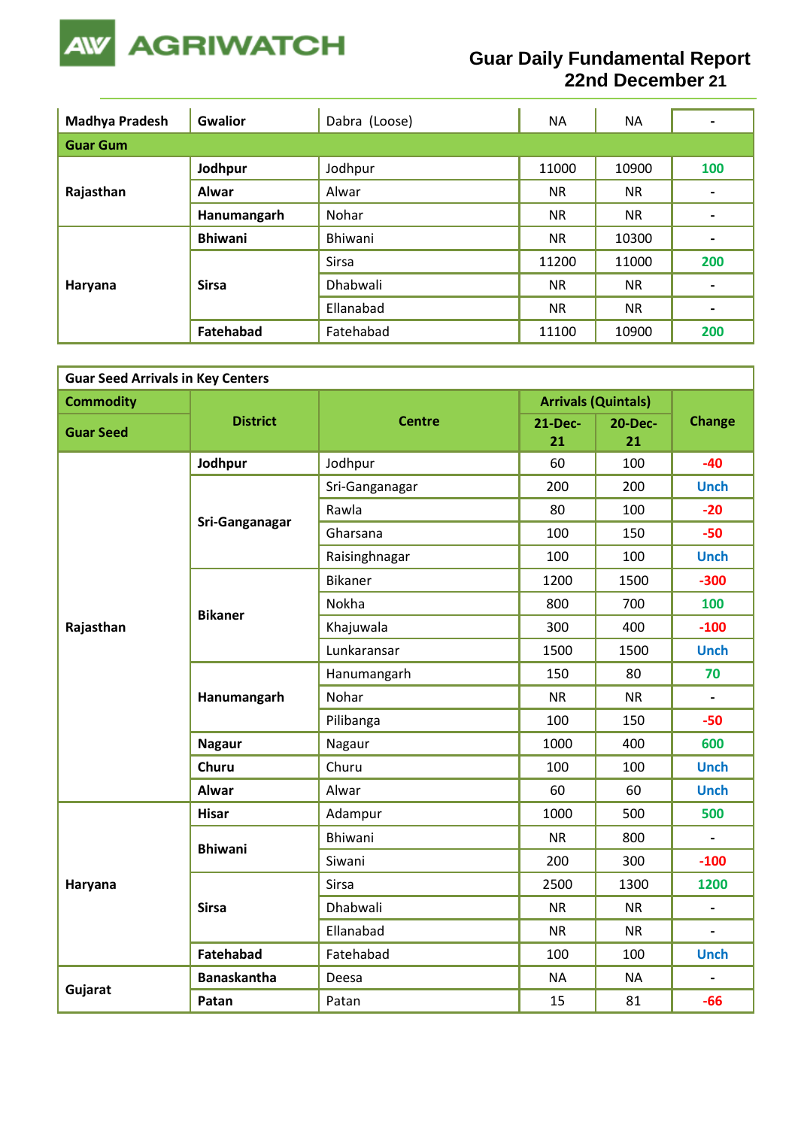

## **Guar Daily Fundamental Report 22nd December 21**

| <b>Madhya Pradesh</b> | <b>Gwalior</b> | Dabra (Loose)   | <b>NA</b> | <b>NA</b> | $\overline{\phantom{0}}$ |  |  |  |  |
|-----------------------|----------------|-----------------|-----------|-----------|--------------------------|--|--|--|--|
| <b>Guar Gum</b>       |                |                 |           |           |                          |  |  |  |  |
| Rajasthan             | Jodhpur        | Jodhpur         | 11000     | 10900     | 100                      |  |  |  |  |
|                       | Alwar          | Alwar           | <b>NR</b> | <b>NR</b> | $\hbox{ }$               |  |  |  |  |
|                       | Hanumangarh    | Nohar           | <b>NR</b> | <b>NR</b> | $\blacksquare$           |  |  |  |  |
|                       | <b>Bhiwani</b> | Bhiwani         | <b>NR</b> | 10300     | $\blacksquare$           |  |  |  |  |
|                       |                | <b>Sirsa</b>    | 11200     | 11000     | 200                      |  |  |  |  |
| Haryana               | <b>Sirsa</b>   | <b>Dhabwali</b> | <b>NR</b> | <b>NR</b> | $\blacksquare$           |  |  |  |  |
|                       |                | Ellanabad       | <b>NR</b> | <b>NR</b> | $\blacksquare$           |  |  |  |  |
|                       | Fatehabad      | Fatehabad       | 11100     | 10900     | 200                      |  |  |  |  |

| <b>Guar Seed Arrivals in Key Centers</b> |                    |                |                |                            |                          |  |  |  |
|------------------------------------------|--------------------|----------------|----------------|----------------------------|--------------------------|--|--|--|
| <b>Commodity</b>                         |                    |                |                | <b>Arrivals (Quintals)</b> |                          |  |  |  |
| <b>Guar Seed</b>                         | <b>District</b>    | <b>Centre</b>  | <b>21-Dec-</b> | <b>20-Dec-</b>             | <b>Change</b>            |  |  |  |
|                                          |                    |                | 21             | 21                         |                          |  |  |  |
|                                          | Jodhpur            | Jodhpur        | 60             | 100                        | $-40$                    |  |  |  |
|                                          |                    | Sri-Ganganagar | 200            | 200                        | <b>Unch</b>              |  |  |  |
|                                          | Sri-Ganganagar     | Rawla          | 80             | 100                        | $-20$                    |  |  |  |
|                                          |                    | Gharsana       | 100            | 150                        | $-50$                    |  |  |  |
|                                          |                    | Raisinghnagar  | 100            | 100                        | <b>Unch</b>              |  |  |  |
|                                          |                    | <b>Bikaner</b> | 1200           | 1500                       | $-300$                   |  |  |  |
|                                          | <b>Bikaner</b>     | Nokha          | 800            | 700                        | 100                      |  |  |  |
| Rajasthan                                |                    | Khajuwala      | 300            | 400                        | $-100$                   |  |  |  |
|                                          |                    | Lunkaransar    | 1500           | 1500                       | <b>Unch</b>              |  |  |  |
|                                          | Hanumangarh        | Hanumangarh    | 150            | 80                         | 70                       |  |  |  |
|                                          |                    | Nohar          | <b>NR</b>      | <b>NR</b>                  | $\overline{\phantom{a}}$ |  |  |  |
|                                          |                    | Pilibanga      | 100            | 150                        | $-50$                    |  |  |  |
|                                          | <b>Nagaur</b>      | Nagaur         | 1000           | 400                        | 600                      |  |  |  |
|                                          | <b>Churu</b>       | Churu          | 100            | 100                        | <b>Unch</b>              |  |  |  |
|                                          | Alwar              | Alwar          | 60             | 60                         | <b>Unch</b>              |  |  |  |
|                                          | <b>Hisar</b>       | Adampur        | 1000           | 500                        | 500                      |  |  |  |
|                                          | <b>Bhiwani</b>     | <b>Bhiwani</b> | <b>NR</b>      | 800                        | $\overline{\phantom{a}}$ |  |  |  |
|                                          |                    | Siwani         | 200            | 300                        | $-100$                   |  |  |  |
| Haryana                                  |                    | Sirsa          | 2500           | 1300                       | 1200                     |  |  |  |
|                                          | <b>Sirsa</b>       | Dhabwali       | <b>NR</b>      | <b>NR</b>                  | $\overline{\phantom{a}}$ |  |  |  |
|                                          |                    | Ellanabad      | <b>NR</b>      | <b>NR</b>                  | $\frac{1}{2}$            |  |  |  |
|                                          | <b>Fatehabad</b>   | Fatehabad      | 100            | 100                        | <b>Unch</b>              |  |  |  |
|                                          | <b>Banaskantha</b> | Deesa          | <b>NA</b>      | <b>NA</b>                  |                          |  |  |  |
| Gujarat                                  | Patan              | Patan          | 15             | 81                         | $-66$                    |  |  |  |